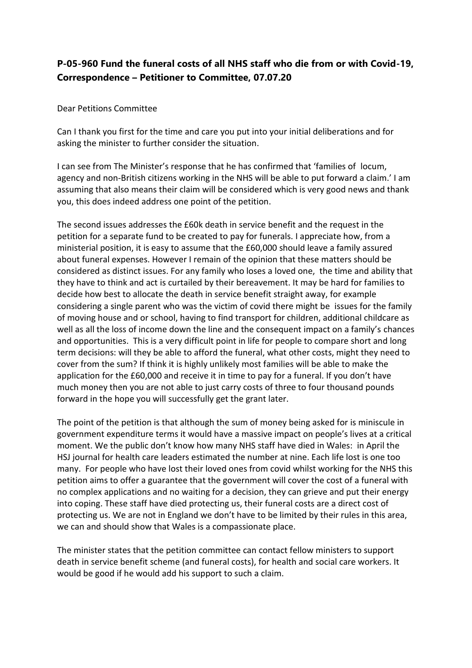## **P-05-960 Fund the funeral costs of all NHS staff who die from or with Covid-19, Correspondence – Petitioner to Committee, 07.07.20**

Dear Petitions Committee

Can I thank you first for the time and care you put into your initial deliberations and for asking the minister to further consider the situation.

I can see from The Minister's response that he has confirmed that 'families of locum, agency and non-British citizens working in the NHS will be able to put forward a claim.' I am assuming that also means their claim will be considered which is very good news and thank you, this does indeed address one point of the petition.

The second issues addresses the £60k death in service benefit and the request in the petition for a separate fund to be created to pay for funerals. I appreciate how, from a ministerial position, it is easy to assume that the £60,000 should leave a family assured about funeral expenses. However I remain of the opinion that these matters should be considered as distinct issues. For any family who loses a loved one, the time and ability that they have to think and act is curtailed by their bereavement. It may be hard for families to decide how best to allocate the death in service benefit straight away, for example considering a single parent who was the victim of covid there might be issues for the family of moving house and or school, having to find transport for children, additional childcare as well as all the loss of income down the line and the consequent impact on a family's chances and opportunities. This is a very difficult point in life for people to compare short and long term decisions: will they be able to afford the funeral, what other costs, might they need to cover from the sum? If think it is highly unlikely most families will be able to make the application for the £60,000 and receive it in time to pay for a funeral. If you don't have much money then you are not able to just carry costs of three to four thousand pounds forward in the hope you will successfully get the grant later.

The point of the petition is that although the sum of money being asked for is miniscule in government expenditure terms it would have a massive impact on people's lives at a critical moment. We the public don't know how many NHS staff have died in Wales: in April the HSJ journal for health care leaders estimated the number at nine. Each life lost is one too many. For people who have lost their loved ones from covid whilst working for the NHS this petition aims to offer a guarantee that the government will cover the cost of a funeral with no complex applications and no waiting for a decision, they can grieve and put their energy into coping. These staff have died protecting us, their funeral costs are a direct cost of protecting us. We are not in England we don't have to be limited by their rules in this area, we can and should show that Wales is a compassionate place.

The minister states that the petition committee can contact fellow ministers to support death in service benefit scheme (and funeral costs), for health and social care workers. It would be good if he would add his support to such a claim.